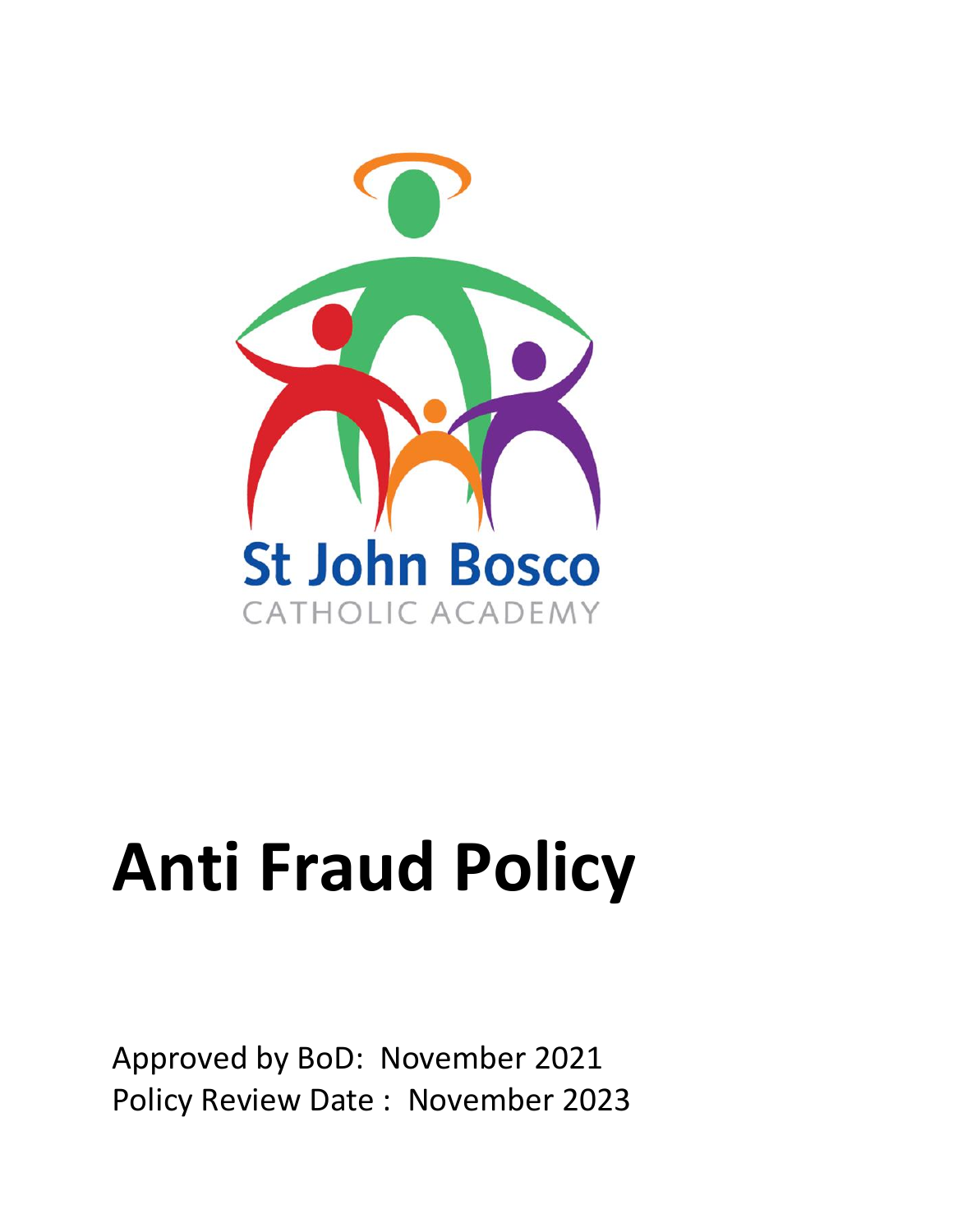

# **Anti Fraud Policy**

Approved by BoD: November 2021 Policy Review Date : November 2023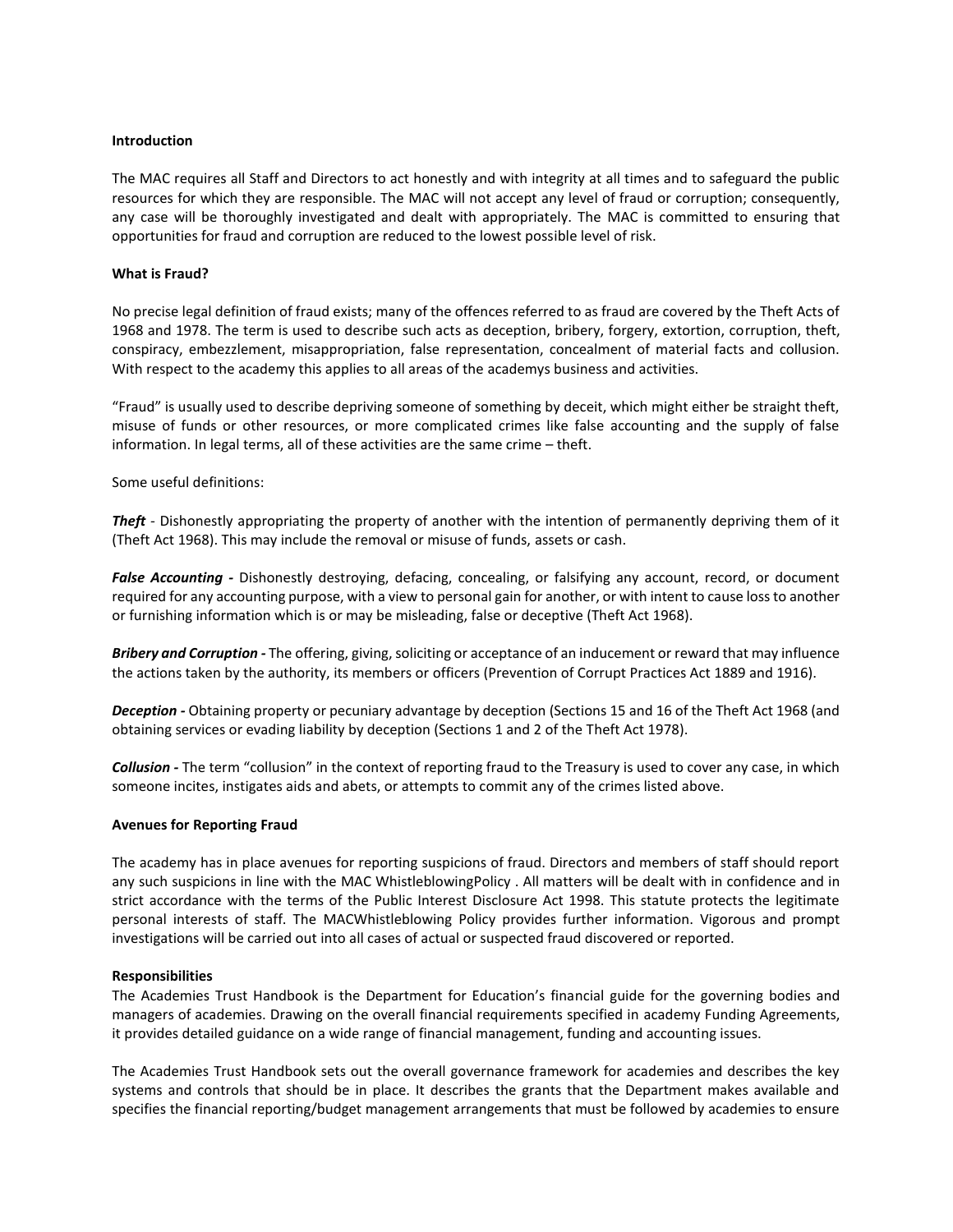# **Introduction**

The MAC requires all Staff and Directors to act honestly and with integrity at all times and to safeguard the public resources for which they are responsible. The MAC will not accept any level of fraud or corruption; consequently, any case will be thoroughly investigated and dealt with appropriately. The MAC is committed to ensuring that opportunities for fraud and corruption are reduced to the lowest possible level of risk.

### **What is Fraud?**

No precise legal definition of fraud exists; many of the offences referred to as fraud are covered by the Theft Acts of 1968 and 1978. The term is used to describe such acts as deception, bribery, forgery, extortion, corruption, theft, conspiracy, embezzlement, misappropriation, false representation, concealment of material facts and collusion. With respect to the academy this applies to all areas of the academys business and activities.

"Fraud" is usually used to describe depriving someone of something by deceit, which might either be straight theft, misuse of funds or other resources, or more complicated crimes like false accounting and the supply of false information. In legal terms, all of these activities are the same crime – theft.

Some useful definitions:

*Theft -* Dishonestly appropriating the property of another with the intention of permanently depriving them of it (Theft Act 1968). This may include the removal or misuse of funds, assets or cash.

*False Accounting -* Dishonestly destroying, defacing, concealing, or falsifying any account, record, or document required for any accounting purpose, with a view to personal gain for another, or with intent to cause loss to another or furnishing information which is or may be misleading, false or deceptive (Theft Act 1968).

*Bribery and Corruption -* The offering, giving, soliciting or acceptance of an inducement or reward that may influence the actions taken by the authority, its members or officers (Prevention of Corrupt Practices Act 1889 and 1916).

*Deception -* Obtaining property or pecuniary advantage by deception (Sections 15 and 16 of the Theft Act 1968 (and obtaining services or evading liability by deception (Sections 1 and 2 of the Theft Act 1978).

*Collusion -* The term "collusion" in the context of reporting fraud to the Treasury is used to cover any case, in which someone incites, instigates aids and abets, or attempts to commit any of the crimes listed above.

### **Avenues for Reporting Fraud**

The academy has in place avenues for reporting suspicions of fraud. Directors and members of staff should report any such suspicions in line with the MAC WhistleblowingPolicy . All matters will be dealt with in confidence and in strict accordance with the terms of the Public Interest Disclosure Act 1998. This statute protects the legitimate personal interests of staff. The MACWhistleblowing Policy provides further information. Vigorous and prompt investigations will be carried out into all cases of actual or suspected fraud discovered or reported.

# **Responsibilities**

The Academies Trust Handbook is the Department for Education's financial guide for the governing bodies and managers of academies. Drawing on the overall financial requirements specified in academy Funding Agreements, it provides detailed guidance on a wide range of financial management, funding and accounting issues.

The Academies Trust Handbook sets out the overall governance framework for academies and describes the key systems and controls that should be in place. It describes the grants that the Department makes available and specifies the financial reporting/budget management arrangements that must be followed by academies to ensure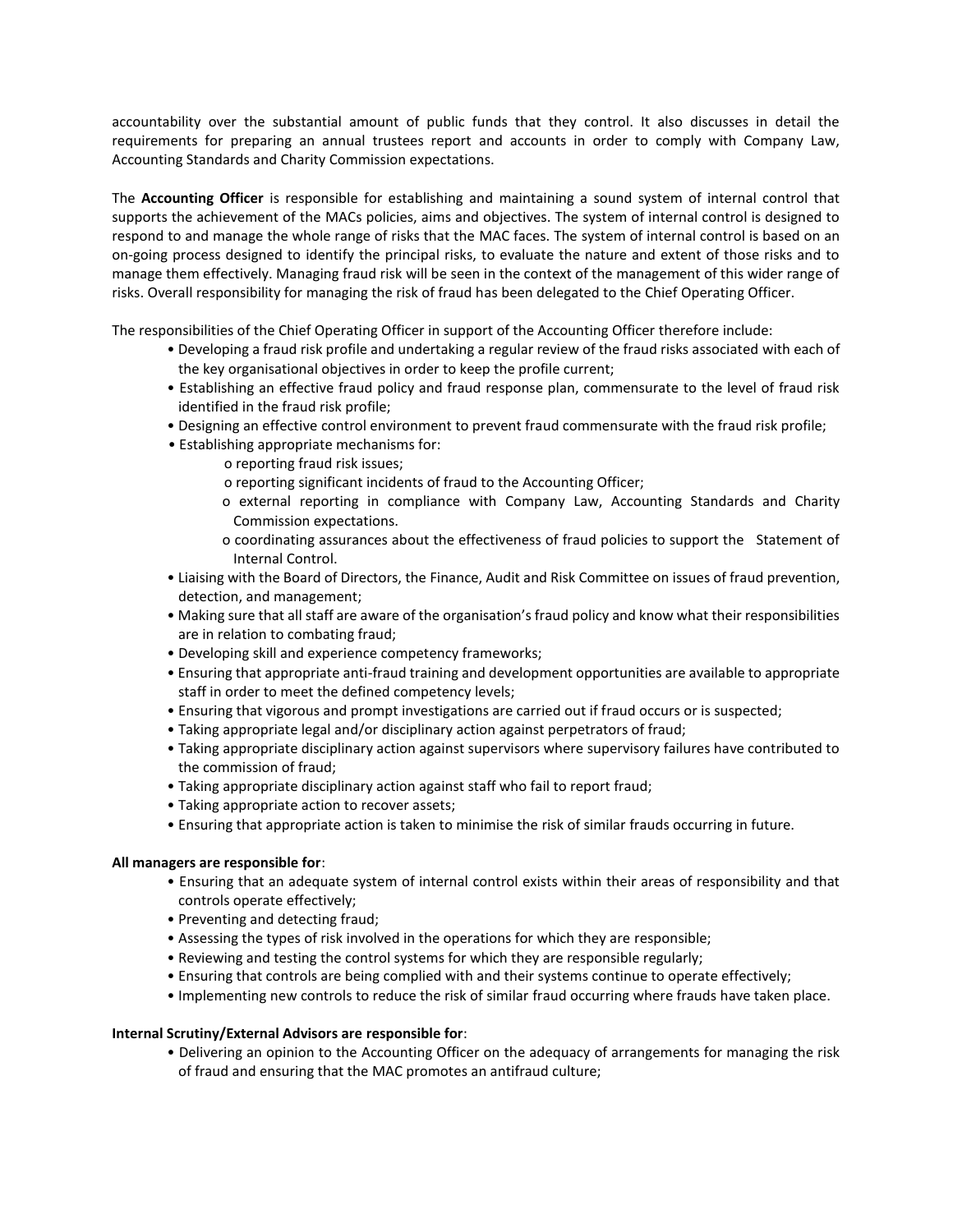accountability over the substantial amount of public funds that they control. It also discusses in detail the requirements for preparing an annual trustees report and accounts in order to comply with Company Law, Accounting Standards and Charity Commission expectations.

The **Accounting Officer** is responsible for establishing and maintaining a sound system of internal control that supports the achievement of the MACs policies, aims and objectives. The system of internal control is designed to respond to and manage the whole range of risks that the MAC faces. The system of internal control is based on an on-going process designed to identify the principal risks, to evaluate the nature and extent of those risks and to manage them effectively. Managing fraud risk will be seen in the context of the management of this wider range of risks. Overall responsibility for managing the risk of fraud has been delegated to the Chief Operating Officer.

The responsibilities of the Chief Operating Officer in support of the Accounting Officer therefore include:

- Developing a fraud risk profile and undertaking a regular review of the fraud risks associated with each of the key organisational objectives in order to keep the profile current;
- Establishing an effective fraud policy and fraud response plan, commensurate to the level of fraud risk identified in the fraud risk profile;
- Designing an effective control environment to prevent fraud commensurate with the fraud risk profile;
- Establishing appropriate mechanisms for:
	- o reporting fraud risk issues;
	- o reporting significant incidents of fraud to the Accounting Officer;
	- o external reporting in compliance with Company Law, Accounting Standards and Charity Commission expectations.
	- o coordinating assurances about the effectiveness of fraud policies to support the Statement of Internal Control.
- Liaising with the Board of Directors, the Finance, Audit and Risk Committee on issues of fraud prevention, detection, and management;
- Making sure that all staff are aware of the organisation's fraud policy and know what their responsibilities are in relation to combating fraud;
- Developing skill and experience competency frameworks;
- Ensuring that appropriate anti-fraud training and development opportunities are available to appropriate staff in order to meet the defined competency levels;
- Ensuring that vigorous and prompt investigations are carried out if fraud occurs or is suspected;
- Taking appropriate legal and/or disciplinary action against perpetrators of fraud;
- Taking appropriate disciplinary action against supervisors where supervisory failures have contributed to the commission of fraud;
- Taking appropriate disciplinary action against staff who fail to report fraud;
- Taking appropriate action to recover assets;
- Ensuring that appropriate action is taken to minimise the risk of similar frauds occurring in future.

# **All managers are responsible for**:

- Ensuring that an adequate system of internal control exists within their areas of responsibility and that controls operate effectively;
- Preventing and detecting fraud;
- Assessing the types of risk involved in the operations for which they are responsible;
- Reviewing and testing the control systems for which they are responsible regularly;
- Ensuring that controls are being complied with and their systems continue to operate effectively;
- Implementing new controls to reduce the risk of similar fraud occurring where frauds have taken place.

# **Internal Scrutiny/External Advisors are responsible for**:

• Delivering an opinion to the Accounting Officer on the adequacy of arrangements for managing the risk of fraud and ensuring that the MAC promotes an antifraud culture;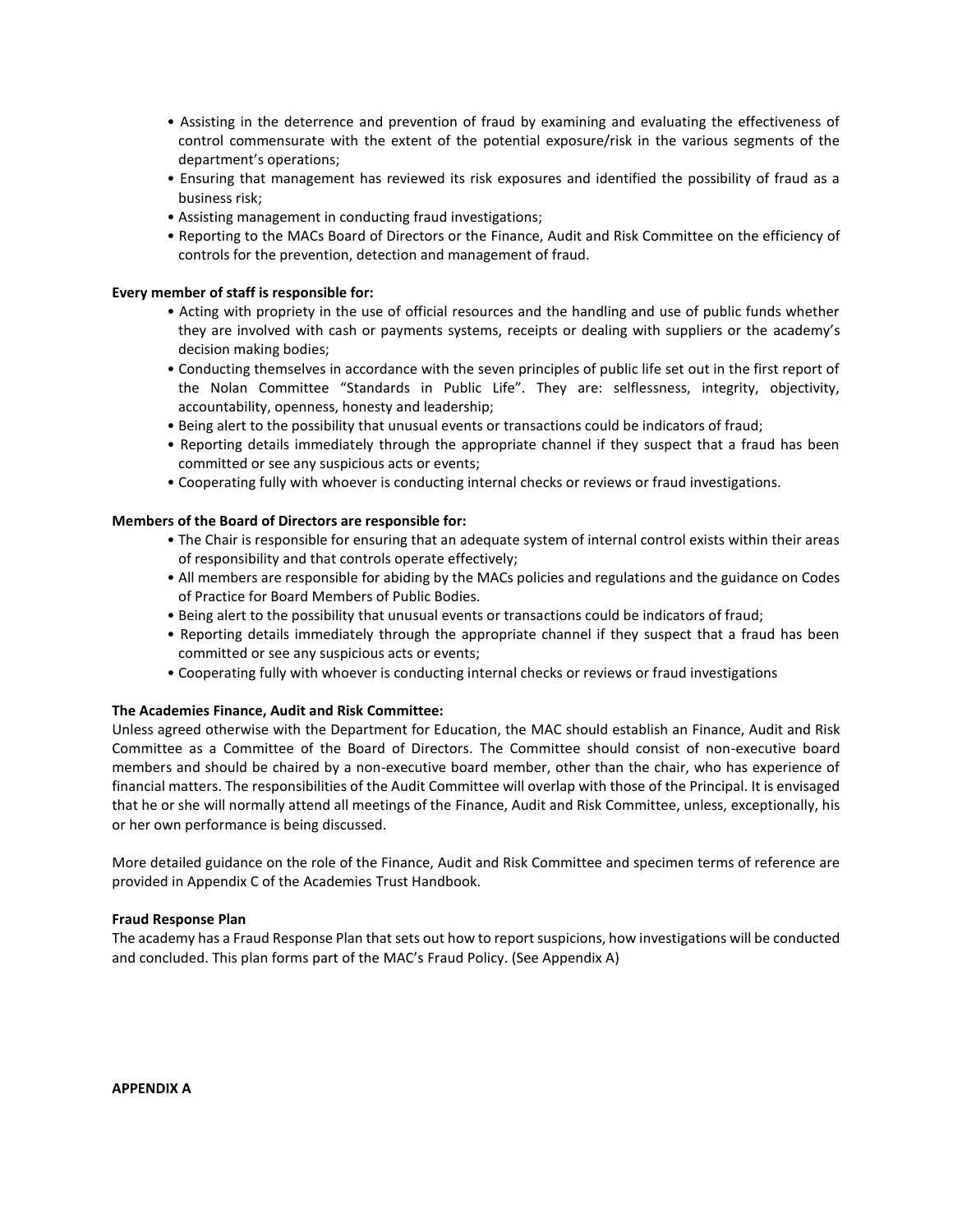- Assisting in the deterrence and prevention of fraud by examining and evaluating the effectiveness of control commensurate with the extent of the potential exposure/risk in the various segments of the department's operations;
- Ensuring that management has reviewed its risk exposures and identified the possibility of fraud as a business risk;
- Assisting management in conducting fraud investigations;
- Reporting to the MACs Board of Directors or the Finance, Audit and Risk Committee on the efficiency of controls for the prevention, detection and management of fraud.

# **Every member of staff is responsible for:**

- Acting with propriety in the use of official resources and the handling and use of public funds whether they are involved with cash or payments systems, receipts or dealing with suppliers or the academy's decision making bodies;
- Conducting themselves in accordance with the seven principles of public life set out in the first report of the Nolan Committee "Standards in Public Life". They are: selflessness, integrity, objectivity, accountability, openness, honesty and leadership;
- Being alert to the possibility that unusual events or transactions could be indicators of fraud;
- Reporting details immediately through the appropriate channel if they suspect that a fraud has been committed or see any suspicious acts or events;
- Cooperating fully with whoever is conducting internal checks or reviews or fraud investigations.

# **Members of the Board of Directors are responsible for:**

- The Chair is responsible for ensuring that an adequate system of internal control exists within their areas of responsibility and that controls operate effectively;
- All members are responsible for abiding by the MACs policies and regulations and the guidance on Codes of Practice for Board Members of Public Bodies.
- Being alert to the possibility that unusual events or transactions could be indicators of fraud;
- Reporting details immediately through the appropriate channel if they suspect that a fraud has been committed or see any suspicious acts or events;
- Cooperating fully with whoever is conducting internal checks or reviews or fraud investigations

# **The Academies Finance, Audit and Risk Committee:**

Unless agreed otherwise with the Department for Education, the MAC should establish an Finance, Audit and Risk Committee as a Committee of the Board of Directors. The Committee should consist of non-executive board members and should be chaired by a non-executive board member, other than the chair, who has experience of financial matters. The responsibilities of the Audit Committee will overlap with those of the Principal. It is envisaged that he or she will normally attend all meetings of the Finance, Audit and Risk Committee, unless, exceptionally, his or her own performance is being discussed.

More detailed guidance on the role of the Finance, Audit and Risk Committee and specimen terms of reference are provided in Appendix C of the Academies Trust Handbook.

# **Fraud Response Plan**

The academy has a Fraud Response Plan that sets out how to report suspicions, how investigations will be conducted and concluded. This plan forms part of the MAC's Fraud Policy. (See Appendix A)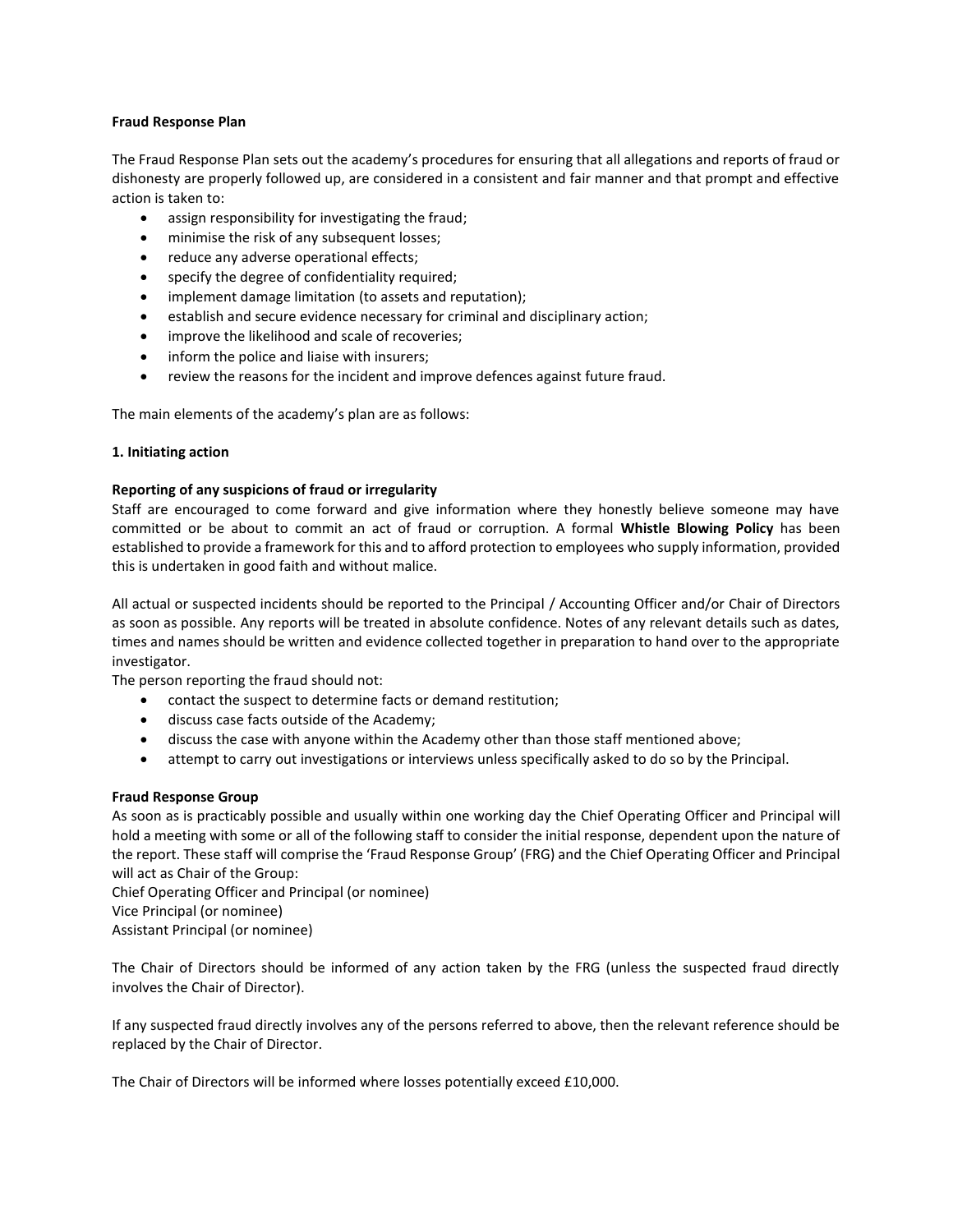# **Fraud Response Plan**

The Fraud Response Plan sets out the academy's procedures for ensuring that all allegations and reports of fraud or dishonesty are properly followed up, are considered in a consistent and fair manner and that prompt and effective action is taken to:

- assign responsibility for investigating the fraud;
- minimise the risk of any subsequent losses;
- reduce any adverse operational effects;
- specify the degree of confidentiality required;
- implement damage limitation (to assets and reputation);
- establish and secure evidence necessary for criminal and disciplinary action;
- improve the likelihood and scale of recoveries;
- inform the police and liaise with insurers;
- review the reasons for the incident and improve defences against future fraud.

The main elements of the academy's plan are as follows:

# **1. Initiating action**

# **Reporting of any suspicions of fraud or irregularity**

Staff are encouraged to come forward and give information where they honestly believe someone may have committed or be about to commit an act of fraud or corruption. A formal **Whistle Blowing Policy** has been established to provide a framework for this and to afford protection to employees who supply information, provided this is undertaken in good faith and without malice.

All actual or suspected incidents should be reported to the Principal / Accounting Officer and/or Chair of Directors as soon as possible. Any reports will be treated in absolute confidence. Notes of any relevant details such as dates, times and names should be written and evidence collected together in preparation to hand over to the appropriate investigator.

The person reporting the fraud should not:

- contact the suspect to determine facts or demand restitution;
- discuss case facts outside of the Academy;
- discuss the case with anyone within the Academy other than those staff mentioned above;
- attempt to carry out investigations or interviews unless specifically asked to do so by the Principal.

# **Fraud Response Group**

As soon as is practicably possible and usually within one working day the Chief Operating Officer and Principal will hold a meeting with some or all of the following staff to consider the initial response, dependent upon the nature of the report. These staff will comprise the 'Fraud Response Group' (FRG) and the Chief Operating Officer and Principal will act as Chair of the Group:

Chief Operating Officer and Principal (or nominee) Vice Principal (or nominee) Assistant Principal (or nominee)

The Chair of Directors should be informed of any action taken by the FRG (unless the suspected fraud directly involves the Chair of Director).

If any suspected fraud directly involves any of the persons referred to above, then the relevant reference should be replaced by the Chair of Director.

The Chair of Directors will be informed where losses potentially exceed £10,000.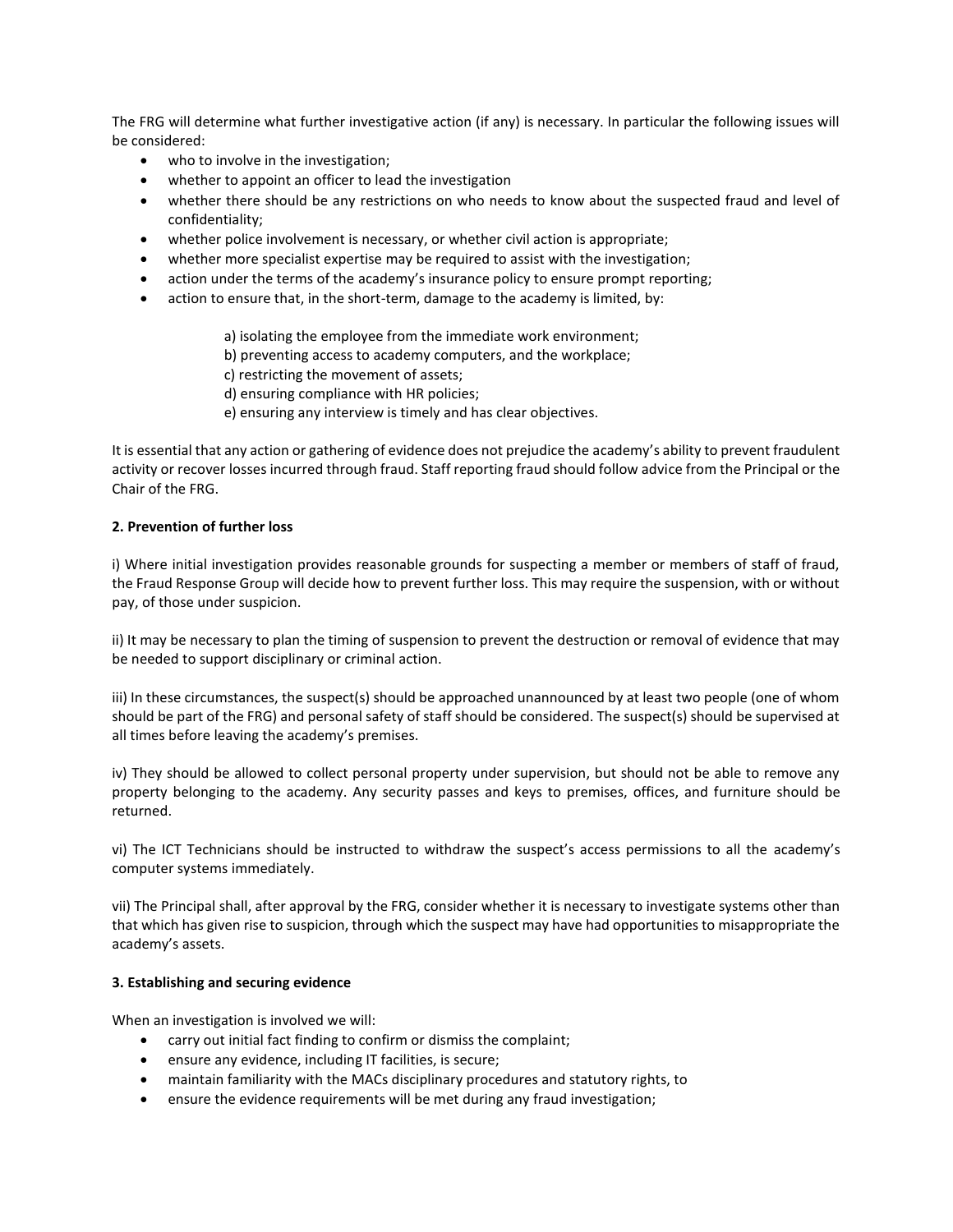The FRG will determine what further investigative action (if any) is necessary. In particular the following issues will be considered:

- who to involve in the investigation;
- whether to appoint an officer to lead the investigation
- whether there should be any restrictions on who needs to know about the suspected fraud and level of confidentiality;
- whether police involvement is necessary, or whether civil action is appropriate;
- whether more specialist expertise may be required to assist with the investigation;
- action under the terms of the academy's insurance policy to ensure prompt reporting;
- action to ensure that, in the short-term, damage to the academy is limited, by:
	- a) isolating the employee from the immediate work environment;
	- b) preventing access to academy computers, and the workplace;
	- c) restricting the movement of assets;
	- d) ensuring compliance with HR policies;
	- e) ensuring any interview is timely and has clear objectives.

It is essential that any action or gathering of evidence does not prejudice the academy's ability to prevent fraudulent activity or recover losses incurred through fraud. Staff reporting fraud should follow advice from the Principal or the Chair of the FRG.

# **2. Prevention of further loss**

i) Where initial investigation provides reasonable grounds for suspecting a member or members of staff of fraud, the Fraud Response Group will decide how to prevent further loss. This may require the suspension, with or without pay, of those under suspicion.

ii) It may be necessary to plan the timing of suspension to prevent the destruction or removal of evidence that may be needed to support disciplinary or criminal action.

iii) In these circumstances, the suspect(s) should be approached unannounced by at least two people (one of whom should be part of the FRG) and personal safety of staff should be considered. The suspect(s) should be supervised at all times before leaving the academy's premises.

iv) They should be allowed to collect personal property under supervision, but should not be able to remove any property belonging to the academy. Any security passes and keys to premises, offices, and furniture should be returned.

vi) The ICT Technicians should be instructed to withdraw the suspect's access permissions to all the academy's computer systems immediately.

vii) The Principal shall, after approval by the FRG, consider whether it is necessary to investigate systems other than that which has given rise to suspicion, through which the suspect may have had opportunities to misappropriate the academy's assets.

# **3. Establishing and securing evidence**

When an investigation is involved we will:

- carry out initial fact finding to confirm or dismiss the complaint;
- ensure any evidence, including IT facilities, is secure;
- maintain familiarity with the MACs disciplinary procedures and statutory rights, to
- ensure the evidence requirements will be met during any fraud investigation;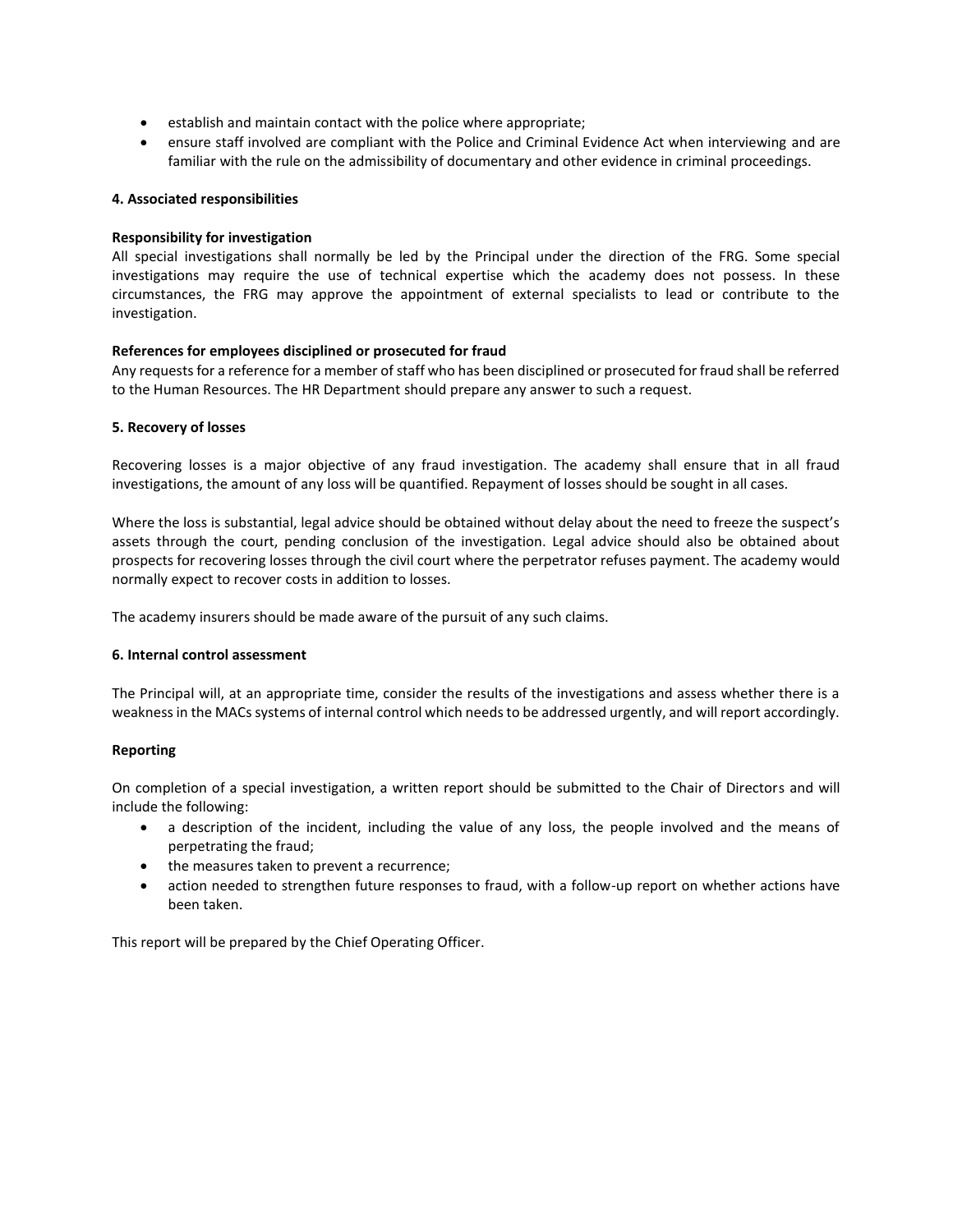- establish and maintain contact with the police where appropriate;
- ensure staff involved are compliant with the Police and Criminal Evidence Act when interviewing and are familiar with the rule on the admissibility of documentary and other evidence in criminal proceedings.

# **4. Associated responsibilities**

# **Responsibility for investigation**

All special investigations shall normally be led by the Principal under the direction of the FRG. Some special investigations may require the use of technical expertise which the academy does not possess. In these circumstances, the FRG may approve the appointment of external specialists to lead or contribute to the investigation.

# **References for employees disciplined or prosecuted for fraud**

Any requests for a reference for a member of staff who has been disciplined or prosecuted for fraud shall be referred to the Human Resources. The HR Department should prepare any answer to such a request.

# **5. Recovery of losses**

Recovering losses is a major objective of any fraud investigation. The academy shall ensure that in all fraud investigations, the amount of any loss will be quantified. Repayment of losses should be sought in all cases.

Where the loss is substantial, legal advice should be obtained without delay about the need to freeze the suspect's assets through the court, pending conclusion of the investigation. Legal advice should also be obtained about prospects for recovering losses through the civil court where the perpetrator refuses payment. The academy would normally expect to recover costs in addition to losses.

The academy insurers should be made aware of the pursuit of any such claims.

# **6. Internal control assessment**

The Principal will, at an appropriate time, consider the results of the investigations and assess whether there is a weakness in the MACs systems of internal control which needs to be addressed urgently, and will report accordingly.

# **Reporting**

On completion of a special investigation, a written report should be submitted to the Chair of Directors and will include the following:

- a description of the incident, including the value of any loss, the people involved and the means of perpetrating the fraud;
- the measures taken to prevent a recurrence;
- action needed to strengthen future responses to fraud, with a follow-up report on whether actions have been taken.

This report will be prepared by the Chief Operating Officer.